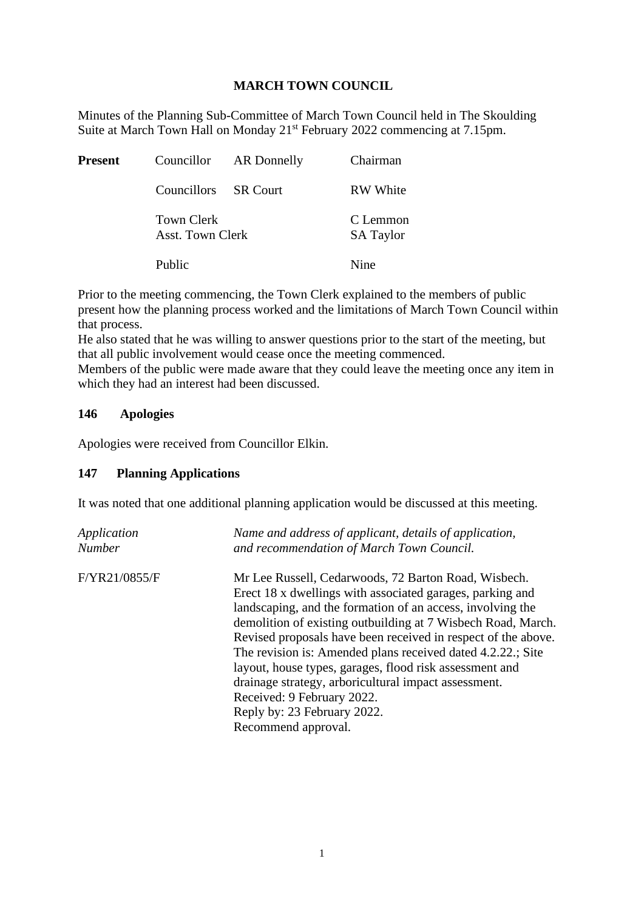## **MARCH TOWN COUNCIL**

Minutes of the Planning Sub-Committee of March Town Council held in The Skoulding Suite at March Town Hall on Monday 21st February 2022 commencing at 7.15pm.

| <b>Present</b> |                                       | Councillor AR Donnelly | Chairman                     |
|----------------|---------------------------------------|------------------------|------------------------------|
|                | Councillors SR Court                  |                        | <b>RW</b> White              |
|                | <b>Town Clerk</b><br>Asst. Town Clerk |                        | C Lemmon<br><b>SA Taylor</b> |
|                | Public                                |                        | Nine                         |

Prior to the meeting commencing, the Town Clerk explained to the members of public present how the planning process worked and the limitations of March Town Council within that process.

He also stated that he was willing to answer questions prior to the start of the meeting, but that all public involvement would cease once the meeting commenced.

Members of the public were made aware that they could leave the meeting once any item in which they had an interest had been discussed.

## **146 Apologies**

Apologies were received from Councillor Elkin.

## **147 Planning Applications**

It was noted that one additional planning application would be discussed at this meeting.

| Application   | Name and address of applicant, details of application,                                                                                                                                                                                                                                                                                                                                                                                                                                                                                                                                 |
|---------------|----------------------------------------------------------------------------------------------------------------------------------------------------------------------------------------------------------------------------------------------------------------------------------------------------------------------------------------------------------------------------------------------------------------------------------------------------------------------------------------------------------------------------------------------------------------------------------------|
| <b>Number</b> | and recommendation of March Town Council.                                                                                                                                                                                                                                                                                                                                                                                                                                                                                                                                              |
| F/YR21/0855/F | Mr Lee Russell, Cedarwoods, 72 Barton Road, Wisbech.<br>Erect 18 x dwellings with associated garages, parking and<br>landscaping, and the formation of an access, involving the<br>demolition of existing outbuilding at 7 Wisbech Road, March.<br>Revised proposals have been received in respect of the above.<br>The revision is: Amended plans received dated 4.2.22.; Site<br>layout, house types, garages, flood risk assessment and<br>drainage strategy, arboricultural impact assessment.<br>Received: 9 February 2022.<br>Reply by: 23 February 2022.<br>Recommend approval. |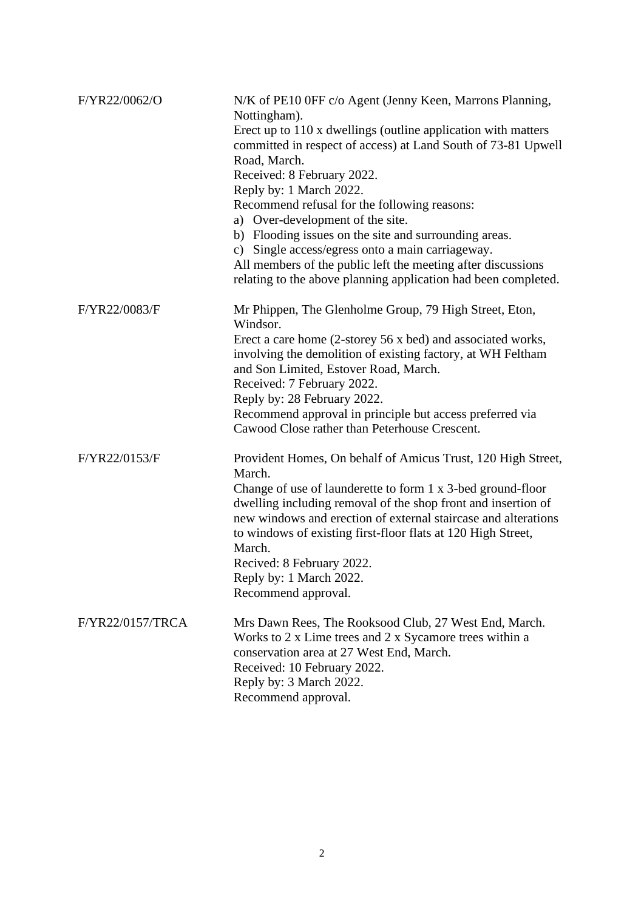| F/YR22/0062/O    | N/K of PE10 0FF c/o Agent (Jenny Keen, Marrons Planning,<br>Nottingham).<br>Erect up to 110 x dwellings (outline application with matters<br>committed in respect of access) at Land South of 73-81 Upwell<br>Road, March.<br>Received: 8 February 2022.<br>Reply by: 1 March 2022.<br>Recommend refusal for the following reasons:<br>a) Over-development of the site.<br>b) Flooding issues on the site and surrounding areas.<br>c) Single access/egress onto a main carriageway.<br>All members of the public left the meeting after discussions<br>relating to the above planning application had been completed. |
|------------------|------------------------------------------------------------------------------------------------------------------------------------------------------------------------------------------------------------------------------------------------------------------------------------------------------------------------------------------------------------------------------------------------------------------------------------------------------------------------------------------------------------------------------------------------------------------------------------------------------------------------|
| F/YR22/0083/F    | Mr Phippen, The Glenholme Group, 79 High Street, Eton,<br>Windsor.<br>Erect a care home (2-storey 56 x bed) and associated works,<br>involving the demolition of existing factory, at WH Feltham<br>and Son Limited, Estover Road, March.<br>Received: 7 February 2022.<br>Reply by: 28 February 2022.<br>Recommend approval in principle but access preferred via<br>Cawood Close rather than Peterhouse Crescent.                                                                                                                                                                                                    |
| F/YR22/0153/F    | Provident Homes, On behalf of Amicus Trust, 120 High Street,<br>March.<br>Change of use of launderette to form 1 x 3-bed ground-floor<br>dwelling including removal of the shop front and insertion of<br>new windows and erection of external staircase and alterations<br>to windows of existing first-floor flats at 120 High Street,<br>March.<br>Recived: 8 February 2022.<br>Reply by: 1 March 2022.<br>Recommend approval.                                                                                                                                                                                      |
| F/YR22/0157/TRCA | Mrs Dawn Rees, The Rooksood Club, 27 West End, March.<br>Works to 2 x Lime trees and 2 x Sycamore trees within a<br>conservation area at 27 West End, March.<br>Received: 10 February 2022.<br>Reply by: 3 March 2022.<br>Recommend approval.                                                                                                                                                                                                                                                                                                                                                                          |